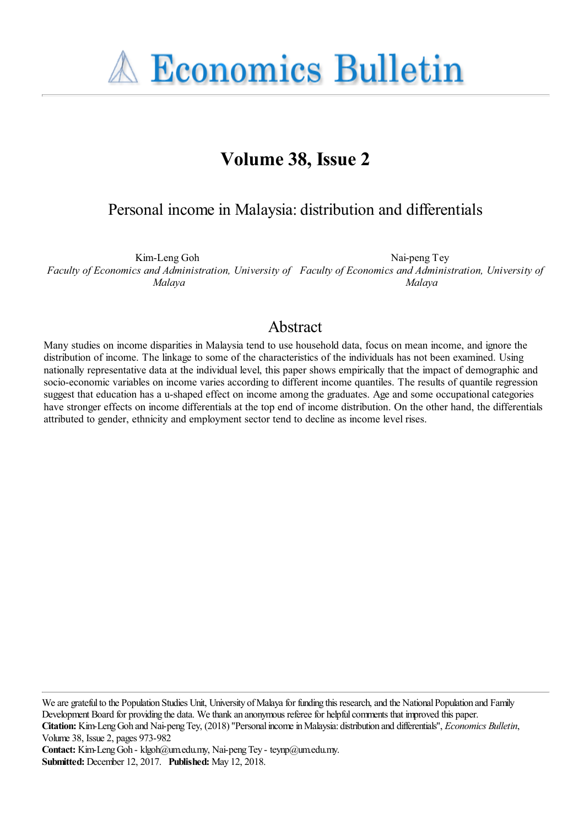**A Economics Bulletin** 

# **Volume 38, Issue 2**

## Personal income in Malaysia: distribution and differentials

Kim-Leng Goh *Faculty of Economics and Administration, University of Faculty of Economics and Administration, University of Malaya* Nai-peng Tey *Malaya*

### Abstract

Many studies on income disparities in Malaysia tend to use household data, focus on mean income, and ignore the distribution of income. The linkage to some of the characteristics of the individuals has not been examined. Using nationally representative data at the individual level, this paper shows empirically that the impact of demographic and socio-economic variables on income varies according to different income quantiles. The results of quantile regression suggest that education has a u-shaped effect on income among the graduates. Age and some occupational categories have stronger effects on income differentials at the top end of income distribution. On the other hand, the differentials attributed to gender, ethnicity and employment sector tend to decline as income level rises.

We are grateful to the Population Studies Unit, University of Malaya for funding this research, and the National Population and Family Development Board for providing the data. We thank an anonymous referee for helpful comments that improved this paper.

**Citation:** Kim-Leng Goh and Nai-peng Tey, (2018) ''Personal income in Malaysia: distribution and differentials'', *Economics Bulletin*, Volume 38, Issue 2, pages 973-982

Contact: Kim-Leng Goh - klgoh@um.edu.my, Nai-peng Tey - teynp@um.edu.my. **Submitted:** December 12, 2017. **Published:** May 12, 2018.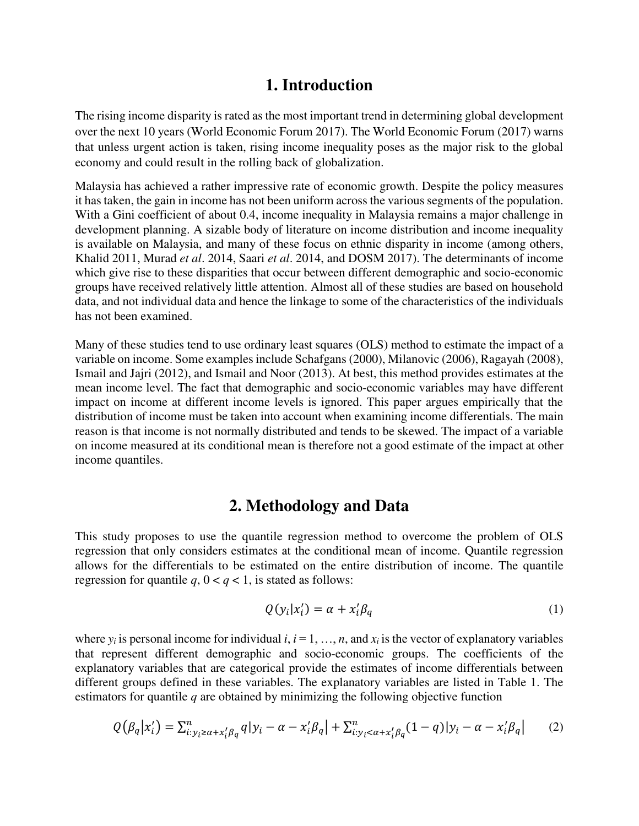## **1. Introduction**

The rising income disparity is rated as the most important trend in determining global development over the next 10 years (World Economic Forum 2017). The World Economic Forum (2017) warns that unless urgent action is taken, rising income inequality poses as the major risk to the global economy and could result in the rolling back of globalization.

Malaysia has achieved a rather impressive rate of economic growth. Despite the policy measures it has taken, the gain in income has not been uniform across the various segments of the population. With a Gini coefficient of about 0.4, income inequality in Malaysia remains a major challenge in development planning. A sizable body of literature on income distribution and income inequality is available on Malaysia, and many of these focus on ethnic disparity in income (among others, Khalid 2011, Murad *et al*. 2014, Saari *et al*. 2014, and DOSM 2017). The determinants of income which give rise to these disparities that occur between different demographic and socio-economic groups have received relatively little attention. Almost all of these studies are based on household data, and not individual data and hence the linkage to some of the characteristics of the individuals has not been examined.

Many of these studies tend to use ordinary least squares (OLS) method to estimate the impact of a variable on income. Some examples include Schafgans (2000), Milanovic (2006), Ragayah (2008), Ismail and Jajri (2012), and Ismail and Noor (2013). At best, this method provides estimates at the mean income level. The fact that demographic and socio-economic variables may have different impact on income at different income levels is ignored. This paper argues empirically that the distribution of income must be taken into account when examining income differentials. The main reason is that income is not normally distributed and tends to be skewed. The impact of a variable on income measured at its conditional mean is therefore not a good estimate of the impact at other income quantiles.

#### **2. Methodology and Data**

This study proposes to use the quantile regression method to overcome the problem of OLS regression that only considers estimates at the conditional mean of income. Quantile regression allows for the differentials to be estimated on the entire distribution of income. The quantile regression for quantile  $q$ ,  $0 < q < 1$ , is stated as follows:

$$
Q(y_i|x'_i) = \alpha + x'_i \beta_q \tag{1}
$$

where  $y_i$  is personal income for individual  $i, i = 1, \ldots, n$ , and  $x_i$  is the vector of explanatory variables that represent different demographic and socio-economic groups. The coefficients of the explanatory variables that are categorical provide the estimates of income differentials between different groups defined in these variables. The explanatory variables are listed in Table 1. The estimators for quantile *q* are obtained by minimizing the following objective function

$$
Q(\beta_q|x'_i) = \sum_{i: y_i \ge \alpha + x'_i \beta_q}^n q|y_i - \alpha - x'_i \beta_q| + \sum_{i: y_i < \alpha + x'_i \beta_q}^n (1 - q)|y_i - \alpha - x'_i \beta_q| \tag{2}
$$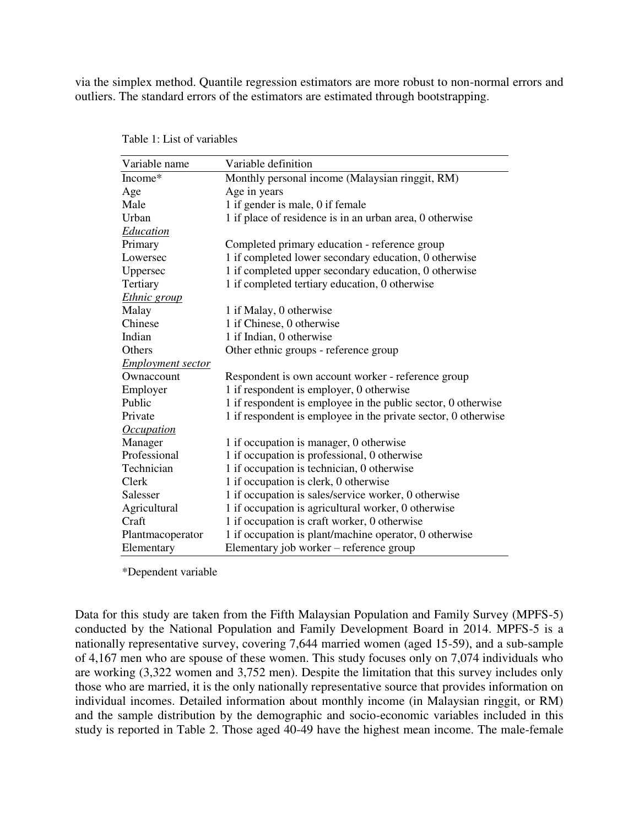via the simplex method. Quantile regression estimators are more robust to non-normal errors and outliers. The standard errors of the estimators are estimated through bootstrapping.

| Variable name                   | Variable definition                                            |
|---------------------------------|----------------------------------------------------------------|
| Income*                         | Monthly personal income (Malaysian ringgit, RM)                |
| Age                             | Age in years                                                   |
| Male                            | 1 if gender is male, 0 if female                               |
| Urban                           | 1 if place of residence is in an urban area, 0 otherwise       |
| <b>Education</b>                |                                                                |
| Primary                         | Completed primary education - reference group                  |
| Lowersec                        | 1 if completed lower secondary education, 0 otherwise          |
| Uppersec                        | 1 if completed upper secondary education, 0 otherwise          |
| Tertiary                        | 1 if completed tertiary education, 0 otherwise                 |
| Ethnic group                    |                                                                |
| Malay                           | 1 if Malay, 0 otherwise                                        |
| Chinese                         | 1 if Chinese, 0 otherwise                                      |
| Indian                          | 1 if Indian, 0 otherwise                                       |
| Others                          | Other ethnic groups - reference group                          |
| <b>Employment sector</b>        |                                                                |
| Ownaccount                      | Respondent is own account worker - reference group             |
| Employer                        | 1 if respondent is employer, 0 otherwise                       |
| Public                          | 1 if respondent is employee in the public sector, 0 otherwise  |
| Private                         | 1 if respondent is employee in the private sector, 0 otherwise |
| <i><u><b>Occupation</b></u></i> |                                                                |
| Manager                         | 1 if occupation is manager, 0 otherwise                        |
| Professional                    | 1 if occupation is professional, 0 otherwise                   |
| Technician                      | 1 if occupation is technician, 0 otherwise                     |
| Clerk                           | 1 if occupation is clerk, 0 otherwise                          |
| Salesser                        | 1 if occupation is sales/service worker, 0 otherwise           |
| Agricultural                    | 1 if occupation is agricultural worker, 0 otherwise            |
| Craft                           | 1 if occupation is craft worker, 0 otherwise                   |
| Plantmacoperator                | 1 if occupation is plant/machine operator, 0 otherwise         |
| Elementary                      | Elementary job worker – reference group                        |

Table 1: List of variables

\*Dependent variable

Data for this study are taken from the Fifth Malaysian Population and Family Survey (MPFS-5) conducted by the National Population and Family Development Board in 2014. MPFS-5 is a nationally representative survey, covering 7,644 married women (aged 15-59), and a sub-sample of 4,167 men who are spouse of these women. This study focuses only on 7,074 individuals who are working (3,322 women and 3,752 men). Despite the limitation that this survey includes only those who are married, it is the only nationally representative source that provides information on individual incomes. Detailed information about monthly income (in Malaysian ringgit, or RM) and the sample distribution by the demographic and socio-economic variables included in this study is reported in Table 2. Those aged 40-49 have the highest mean income. The male-female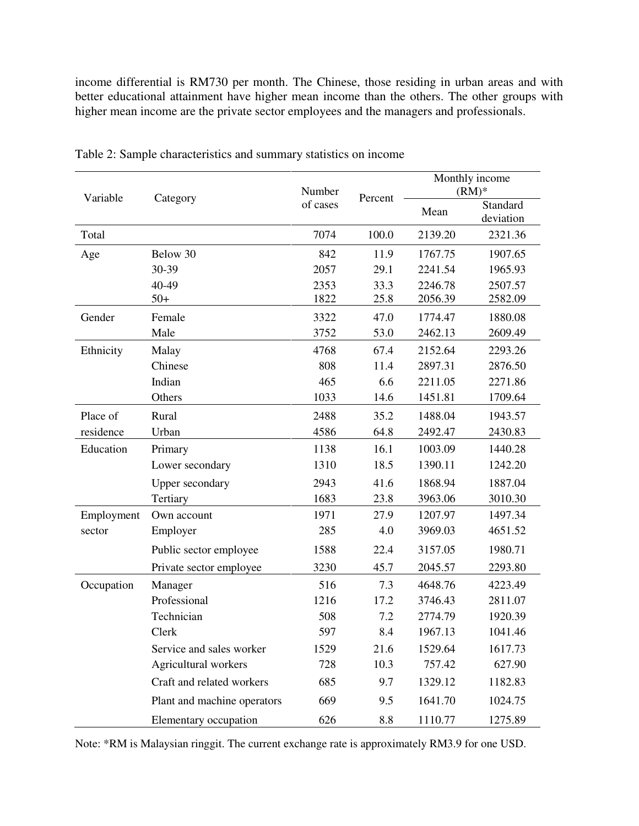income differential is RM730 per month. The Chinese, those residing in urban areas and with better educational attainment have higher mean income than the others. The other groups with higher mean income are the private sector employees and the managers and professionals.

| Variable   | Category                    | Number<br>of cases | Percent      | Monthly income<br>$(RM)*$ |                       |
|------------|-----------------------------|--------------------|--------------|---------------------------|-----------------------|
|            |                             |                    |              | Mean                      | Standard<br>deviation |
| Total      |                             | 7074               | 100.0        | 2139.20                   | 2321.36               |
| Age        | Below 30                    | 842                | 11.9         | 1767.75                   | 1907.65               |
|            | 30-39                       | 2057               | 29.1         | 2241.54                   | 1965.93               |
|            | 40-49<br>$50+$              | 2353<br>1822       | 33.3<br>25.8 | 2246.78<br>2056.39        | 2507.57<br>2582.09    |
| Gender     | Female                      | 3322               | 47.0         | 1774.47                   | 1880.08               |
|            | Male                        | 3752               | 53.0         | 2462.13                   | 2609.49               |
| Ethnicity  | Malay                       | 4768               | 67.4         | 2152.64                   | 2293.26               |
|            | Chinese                     | 808                | 11.4         | 2897.31                   | 2876.50               |
|            | Indian                      | 465                | 6.6          | 2211.05                   | 2271.86               |
|            | Others                      | 1033               | 14.6         | 1451.81                   | 1709.64               |
| Place of   | Rural                       | 2488               | 35.2         | 1488.04                   | 1943.57               |
| residence  | Urban                       | 4586               | 64.8         | 2492.47                   | 2430.83               |
| Education  | Primary                     | 1138               | 16.1         | 1003.09                   | 1440.28               |
|            | Lower secondary             | 1310               | 18.5         | 1390.11                   | 1242.20               |
|            | <b>Upper secondary</b>      | 2943               | 41.6         | 1868.94                   | 1887.04               |
|            | Tertiary                    | 1683               | 23.8         | 3963.06                   | 3010.30               |
| Employment | Own account                 | 1971               | 27.9         | 1207.97                   | 1497.34               |
| sector     | Employer                    | 285                | 4.0          | 3969.03                   | 4651.52               |
|            | Public sector employee      | 1588               | 22.4         | 3157.05                   | 1980.71               |
|            | Private sector employee     | 3230               | 45.7         | 2045.57                   | 2293.80               |
| Occupation | Manager                     | 516                | 7.3          | 4648.76                   | 4223.49               |
|            | Professional                | 1216               | 17.2         | 3746.43                   | 2811.07               |
|            | Technician                  | 508                | 7.2          | 2774.79                   | 1920.39               |
|            | <b>Clerk</b>                | 597                | 8.4          | 1967.13                   | 1041.46               |
|            | Service and sales worker    | 1529               | 21.6         | 1529.64                   | 1617.73               |
|            | Agricultural workers        | 728                | 10.3         | 757.42                    | 627.90                |
|            | Craft and related workers   | 685                | 9.7          | 1329.12                   | 1182.83               |
|            | Plant and machine operators | 669                | 9.5          | 1641.70                   | 1024.75               |
|            | Elementary occupation       | 626                | 8.8          | 1110.77                   | 1275.89               |

Table 2: Sample characteristics and summary statistics on income

Note: \*RM is Malaysian ringgit. The current exchange rate is approximately RM3.9 for one USD.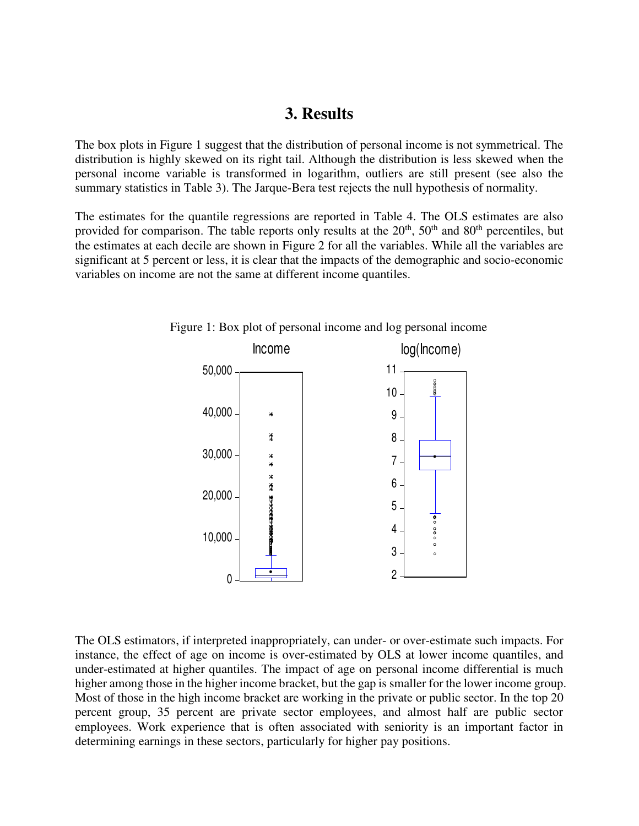#### **3. Results**

The box plots in Figure 1 suggest that the distribution of personal income is not symmetrical. The distribution is highly skewed on its right tail. Although the distribution is less skewed when the personal income variable is transformed in logarithm, outliers are still present (see also the summary statistics in Table 3). The Jarque-Bera test rejects the null hypothesis of normality.

The estimates for the quantile regressions are reported in Table 4. The OLS estimates are also provided for comparison. The table reports only results at the  $20<sup>th</sup>$ ,  $50<sup>th</sup>$  and  $80<sup>th</sup>$  percentiles, but the estimates at each decile are shown in Figure 2 for all the variables. While all the variables are significant at 5 percent or less, it is clear that the impacts of the demographic and socio-economic variables on income are not the same at different income quantiles.



Figure 1: Box plot of personal income and log personal income

The OLS estimators, if interpreted inappropriately, can under- or over-estimate such impacts. For instance, the effect of age on income is over-estimated by OLS at lower income quantiles, and under-estimated at higher quantiles. The impact of age on personal income differential is much higher among those in the higher income bracket, but the gap is smaller for the lower income group. Most of those in the high income bracket are working in the private or public sector. In the top 20 percent group, 35 percent are private sector employees, and almost half are public sector employees. Work experience that is often associated with seniority is an important factor in determining earnings in these sectors, particularly for higher pay positions.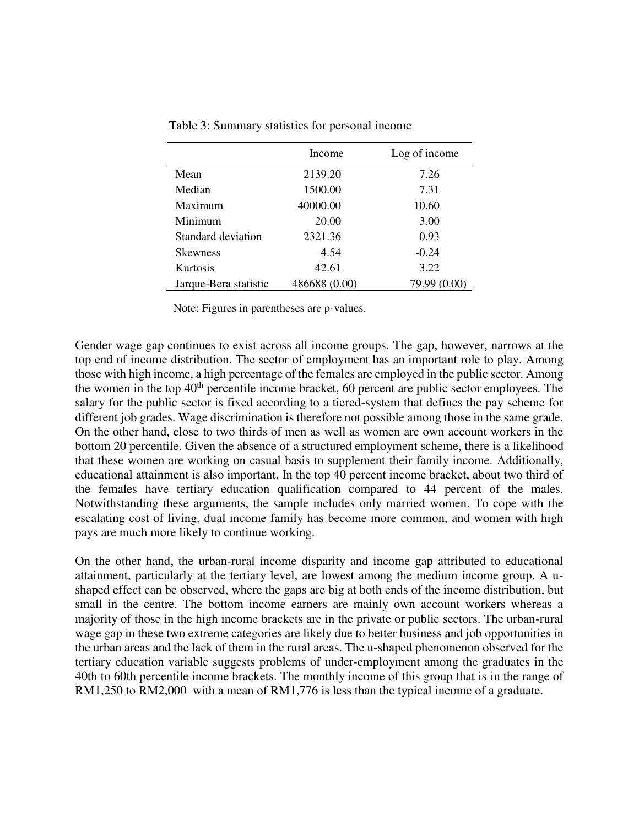|                       | Income        | Log of income |
|-----------------------|---------------|---------------|
| Mean                  | 2139.20       | 7.26          |
| Median                | 1500.00       | 7.31          |
| Maximum               | 40000.00      | 10.60         |
| Minimum               | 20.00         | 3.00          |
| Standard deviation    | 2321.36       | 0.93          |
| <b>Skewness</b>       | 4.54          | $-0.24$       |
| Kurtosis              | 42.61         | 3.22          |
| Jarque-Bera statistic | 486688 (0.00) | 79.99 (0.00)  |

Table 3: Summary statistics for personal income

Note: Figures in parentheses are p-values.

Gender wage gap continues to exist across all income groups. The gap, however, narrows at the top end of income distribution. The sector of employment has an important role to play. Among those with high income, a high percentage of the females are employed in the public sector. Among the women in the top  $40<sup>th</sup>$  percentile income bracket, 60 percent are public sector employees. The salary for the public sector is fixed according to a tiered-system that defines the pay scheme for different job grades. Wage discrimination is therefore not possible among those in the same grade. On the other hand, close to two thirds of men as well as women are own account workers in the bottom 20 percentile. Given the absence of a structured employment scheme, there is a likelihood that these women are working on casual basis to supplement their family income. Additionally, educational attainment is also important. In the top 40 percent income bracket, about two third of the females have tertiary education qualification compared to 44 percent of the males. Notwithstanding these arguments, the sample includes only married women. To cope with the escalating cost of living, dual income family has become more common, and women with high pays are much more likely to continue working.

On the other hand, the urban-rural income disparity and income gap attributed to educational attainment, particularly at the tertiary level, are lowest among the medium income group. A ushaped effect can be observed, where the gaps are big at both ends of the income distribution, but small in the centre. The bottom income earners are mainly own account workers whereas a majority of those in the high income brackets are in the private or public sectors. The urban-rural wage gap in these two extreme categories are likely due to better business and job opportunities in the urban areas and the lack of them in the rural areas. The u-shaped phenomenon observed for the tertiary education variable suggests problems of under-employment among the graduates in the 40th to 60th percentile income brackets. The monthly income of this group that is in the range of RM1,250 to RM2,000 with a mean of RM1,776 is less than the typical income of a graduate.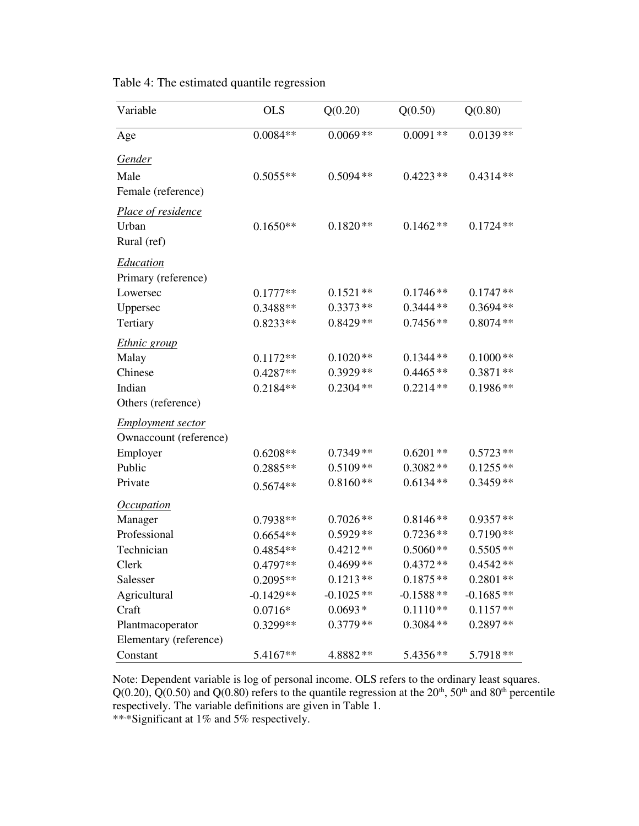| Variable                                   | <b>OLS</b>  | Q(0.20)     | Q(0.50)     | Q(0.80)     |
|--------------------------------------------|-------------|-------------|-------------|-------------|
| Age                                        | $0.0084**$  | $0.0069**$  | $0.0091**$  | $0.0139**$  |
| <u>Gender</u>                              |             |             |             |             |
| Male<br>Female (reference)                 | $0.5055**$  | $0.5094**$  | $0.4223**$  | $0.4314**$  |
| Place of residence<br>Urban<br>Rural (ref) | $0.1650**$  | $0.1820**$  | $0.1462**$  | $0.1724**$  |
| <u>Education</u><br>Primary (reference)    |             |             |             |             |
| Lowersec                                   | $0.1777**$  | $0.1521**$  | $0.1746**$  | $0.1747**$  |
| Uppersec                                   | $0.3488**$  | $0.3373**$  | $0.3444**$  | $0.3694**$  |
| Tertiary                                   | $0.8233**$  | $0.8429**$  | $0.7456**$  | $0.8074**$  |
| <i>Ethnic group</i>                        |             |             |             |             |
| Malay                                      | $0.1172**$  | $0.1020**$  | $0.1344**$  | $0.1000**$  |
| Chinese                                    | $0.4287**$  | $0.3929**$  | $0.4465**$  | $0.3871**$  |
| Indian                                     | $0.2184**$  | $0.2304**$  | $0.2214**$  | $0.1986**$  |
| Others (reference)                         |             |             |             |             |
| <b>Employment sector</b>                   |             |             |             |             |
| Ownaccount (reference)                     |             |             |             |             |
| Employer                                   | $0.6208**$  | $0.7349**$  | $0.6201**$  | $0.5723**$  |
| Public                                     | 0.2885**    | $0.5109**$  | $0.3082**$  | $0.1255**$  |
| Private                                    | $0.5674**$  | $0.8160**$  | $0.6134**$  | $0.3459**$  |
| <i><u><b>Occupation</b></u></i>            |             |             |             |             |
| Manager                                    | $0.7938**$  | $0.7026**$  | $0.8146**$  | $0.9357**$  |
| Professional                               | $0.6654**$  | $0.5929**$  | $0.7236**$  | $0.7190**$  |
| Technician                                 | 0.4854**    | $0.4212**$  | $0.5060**$  | $0.5505**$  |
| Clerk                                      | 0.4797**    | $0.4699**$  | $0.4372**$  | $0.4542**$  |
| Salesser                                   | $0.2095**$  | $0.1213**$  | $0.1875**$  | $0.2801**$  |
| Agricultural                               | $-0.1429**$ | $-0.1025**$ | $-0.1588**$ | $-0.1685**$ |
| Craft                                      | $0.0716*$   | $0.0693*$   | $0.1110**$  | $0.1157**$  |
| Plantmacoperator                           | 0.3299**    | $0.3779**$  | $0.3084**$  | $0.2897**$  |
| Elementary (reference)                     |             |             |             |             |
| Constant                                   | 5.4167**    | 4.8882 **   | 5.4356**    | 5.7918**    |

Table 4: The estimated quantile regression

Note: Dependent variable is log of personal income. OLS refers to the ordinary least squares.  $Q(0.20)$ ,  $Q(0.50)$  and  $Q(0.80)$  refers to the quantile regression at the  $20<sup>th</sup>$ ,  $50<sup>th</sup>$  and  $80<sup>th</sup>$  percentile respectively. The variable definitions are given in Table 1. \*\*\*Significant at 1% and 5% respectively.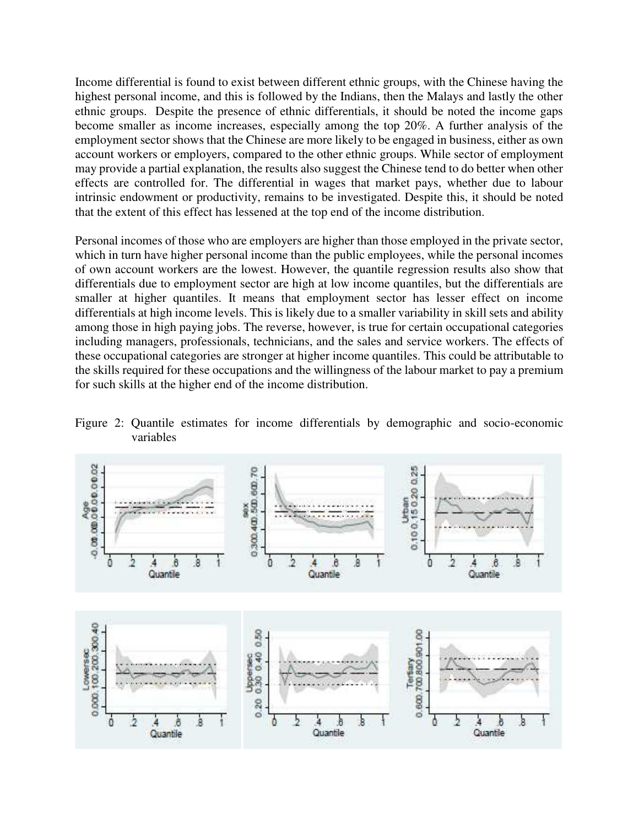Income differential is found to exist between different ethnic groups, with the Chinese having the highest personal income, and this is followed by the Indians, then the Malays and lastly the other ethnic groups. Despite the presence of ethnic differentials, it should be noted the income gaps become smaller as income increases, especially among the top 20%. A further analysis of the employment sector shows that the Chinese are more likely to be engaged in business, either as own account workers or employers, compared to the other ethnic groups. While sector of employment may provide a partial explanation, the results also suggest the Chinese tend to do better when other effects are controlled for. The differential in wages that market pays, whether due to labour intrinsic endowment or productivity, remains to be investigated. Despite this, it should be noted that the extent of this effect has lessened at the top end of the income distribution.

Personal incomes of those who are employers are higher than those employed in the private sector, which in turn have higher personal income than the public employees, while the personal incomes of own account workers are the lowest. However, the quantile regression results also show that differentials due to employment sector are high at low income quantiles, but the differentials are smaller at higher quantiles. It means that employment sector has lesser effect on income differentials at high income levels. This is likely due to a smaller variability in skill sets and ability among those in high paying jobs. The reverse, however, is true for certain occupational categories including managers, professionals, technicians, and the sales and service workers. The effects of these occupational categories are stronger at higher income quantiles. This could be attributable to the skills required for these occupations and the willingness of the labour market to pay a premium for such skills at the higher end of the income distribution.



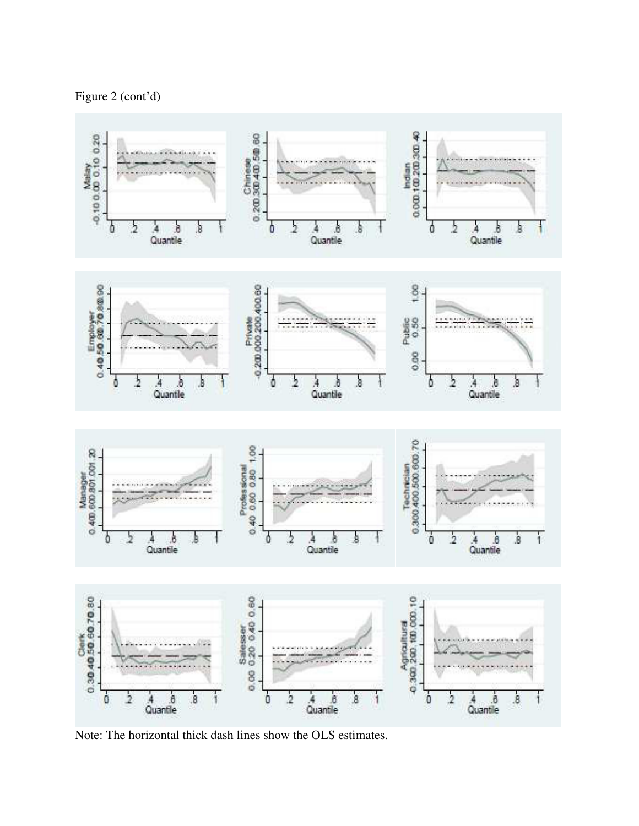



Note: The horizontal thick dash lines show the OLS estimates.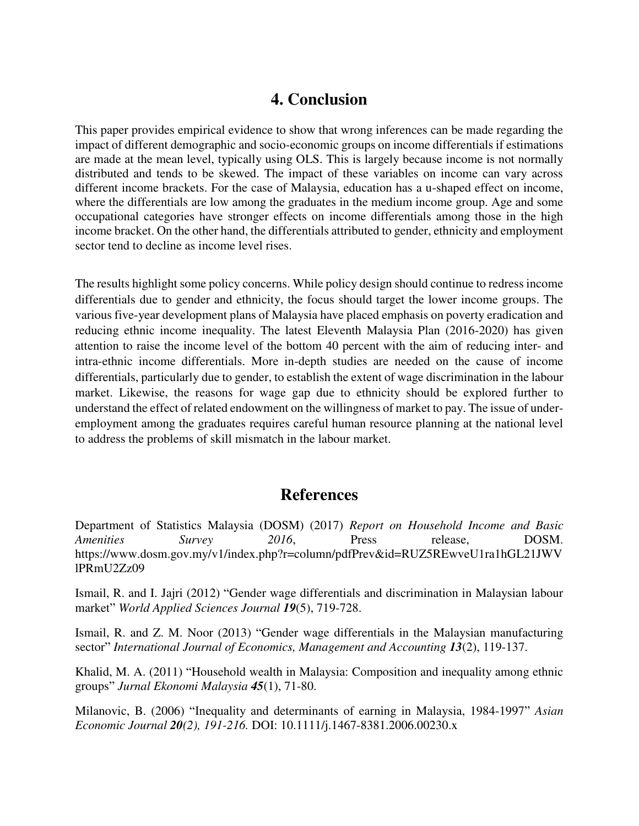## **4. Conclusion**

This paper provides empirical evidence to show that wrong inferences can be made regarding the impact of different demographic and socio-economic groups on income differentials if estimations are made at the mean level, typically using OLS. This is largely because income is not normally distributed and tends to be skewed. The impact of these variables on income can vary across different income brackets. For the case of Malaysia, education has a u-shaped effect on income, where the differentials are low among the graduates in the medium income group. Age and some occupational categories have stronger effects on income differentials among those in the high income bracket. On the other hand, the differentials attributed to gender, ethnicity and employment sector tend to decline as income level rises.

The results highlight some policy concerns. While policy design should continue to redress income differentials due to gender and ethnicity, the focus should target the lower income groups. The various five-year development plans of Malaysia have placed emphasis on poverty eradication and reducing ethnic income inequality. The latest Eleventh Malaysia Plan (2016-2020) has given attention to raise the income level of the bottom 40 percent with the aim of reducing inter- and intra-ethnic income differentials. More in-depth studies are needed on the cause of income differentials, particularly due to gender, to establish the extent of wage discrimination in the labour market. Likewise, the reasons for wage gap due to ethnicity should be explored further to understand the effect of related endowment on the willingness of market to pay. The issue of underemployment among the graduates requires careful human resource planning at the national level to address the problems of skill mismatch in the labour market.

## **References**

Department of Statistics Malaysia (DOSM) (2017) *Report on Household Income and Basic Amenities Survey 2016*, Press release, DOSM. https://www.dosm.gov.my/v1/index.php?r=column/pdfPrev&id=RUZ5REwveU1ra1hGL21JWV lPRmU2Zz09

Ismail, R. and I. Jajri (2012) "Gender wage differentials and discrimination in Malaysian labour market" *World Applied Sciences Journal 19*(5), 719-728.

Ismail, R. and Z. M. Noor (2013) "Gender wage differentials in the Malaysian manufacturing sector" *International Journal of Economics, Management and Accounting 13*(2), 119-137.

Khalid, M. A. (2011) "Household wealth in Malaysia: Composition and inequality among ethnic groups" *Jurnal Ekonomi Malaysia 45*(1), 71-80.

Milanovic, B. (2006) "Inequality and determinants of earning in Malaysia, 1984-1997" *Asian Economic Journal 20(2), 191-216.* DOI: 10.1111/j.1467-8381.2006.00230.x